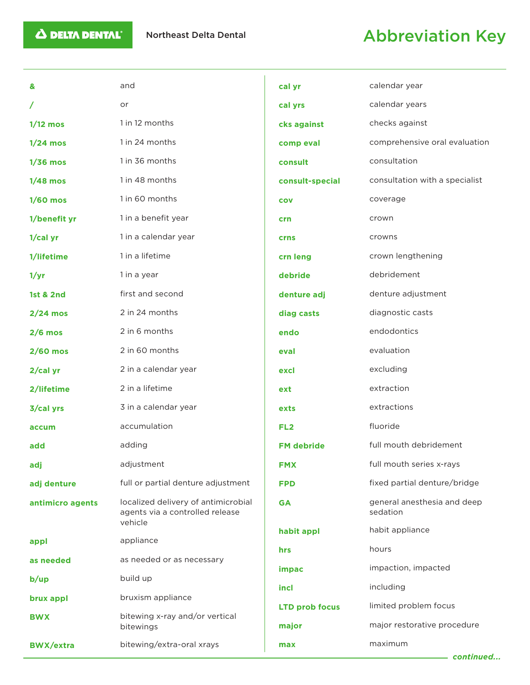## Northeast Delta Dental **Abbreviation Key**

| &                    | and                                                                               | cal yr                | calendar year                           |
|----------------------|-----------------------------------------------------------------------------------|-----------------------|-----------------------------------------|
| T                    | or                                                                                | cal yrs               | calendar years                          |
| $1/12$ mos           | 1 in 12 months                                                                    |                       | checks against                          |
|                      |                                                                                   | cks against           |                                         |
| $1/24$ mos           | 1 in 24 months                                                                    | comp eval             | comprehensive oral evaluation           |
| $1/36$ mos           | 1 in 36 months                                                                    | consult               | consultation                            |
| $1/48$ mos           | 1 in 48 months                                                                    | consult-special       | consultation with a specialist          |
| $1/60$ mos           | 1 in 60 months                                                                    | <b>COV</b>            | coverage                                |
| 1/benefit yr         | 1 in a benefit year                                                               | crn                   | crown                                   |
| $1/cal$ yr           | 1 in a calendar year                                                              | <b>crns</b>           | crowns                                  |
| 1/lifetime           | 1 in a lifetime                                                                   | crn leng              | crown lengthening                       |
| 1/yr                 | 1 in a year                                                                       | debride               | debridement                             |
| <b>1st &amp; 2nd</b> | first and second                                                                  | denture adj           | denture adjustment                      |
| $2/24$ mos           | 2 in 24 months                                                                    | diag casts            | diagnostic casts                        |
| $2/6$ mos            | 2 in 6 months                                                                     | endo                  | endodontics                             |
| $2/60$ mos           | 2 in 60 months                                                                    | eval                  | evaluation                              |
| 2/cal yr             | 2 in a calendar year                                                              | excl                  | excluding                               |
| 2/lifetime           | 2 in a lifetime                                                                   | ext                   | extraction                              |
| 3/cal yrs            | 3 in a calendar year                                                              | exts                  | extractions                             |
| accum                | accumulation                                                                      | FL <sub>2</sub>       | fluoride                                |
| add                  | adding                                                                            | <b>FM debride</b>     | full mouth debridement                  |
| adj                  | adjustment                                                                        | <b>FMX</b>            | full mouth series x-rays                |
| adj denture          | full or partial denture adjustment                                                | <b>FPD</b>            | fixed partial denture/bridge            |
| antimicro agents     | localized delivery of antimicrobial<br>agents via a controlled release<br>vehicle | <b>GA</b>             | general anesthesia and deep<br>sedation |
|                      | appliance                                                                         | habit appl            | habit appliance                         |
| appl                 |                                                                                   | hrs                   | hours                                   |
| as needed            | as needed or as necessary                                                         | impac                 | impaction, impacted                     |
| b/up                 | build up                                                                          | incl                  | including                               |
| brux appl            | bruxism appliance                                                                 | <b>LTD prob focus</b> | limited problem focus                   |
| <b>BWX</b>           | bitewing x-ray and/or vertical<br>bitewings                                       | major                 | major restorative procedure             |
| <b>BWX/extra</b>     | bitewing/extra-oral xrays                                                         | max                   | maximum                                 |